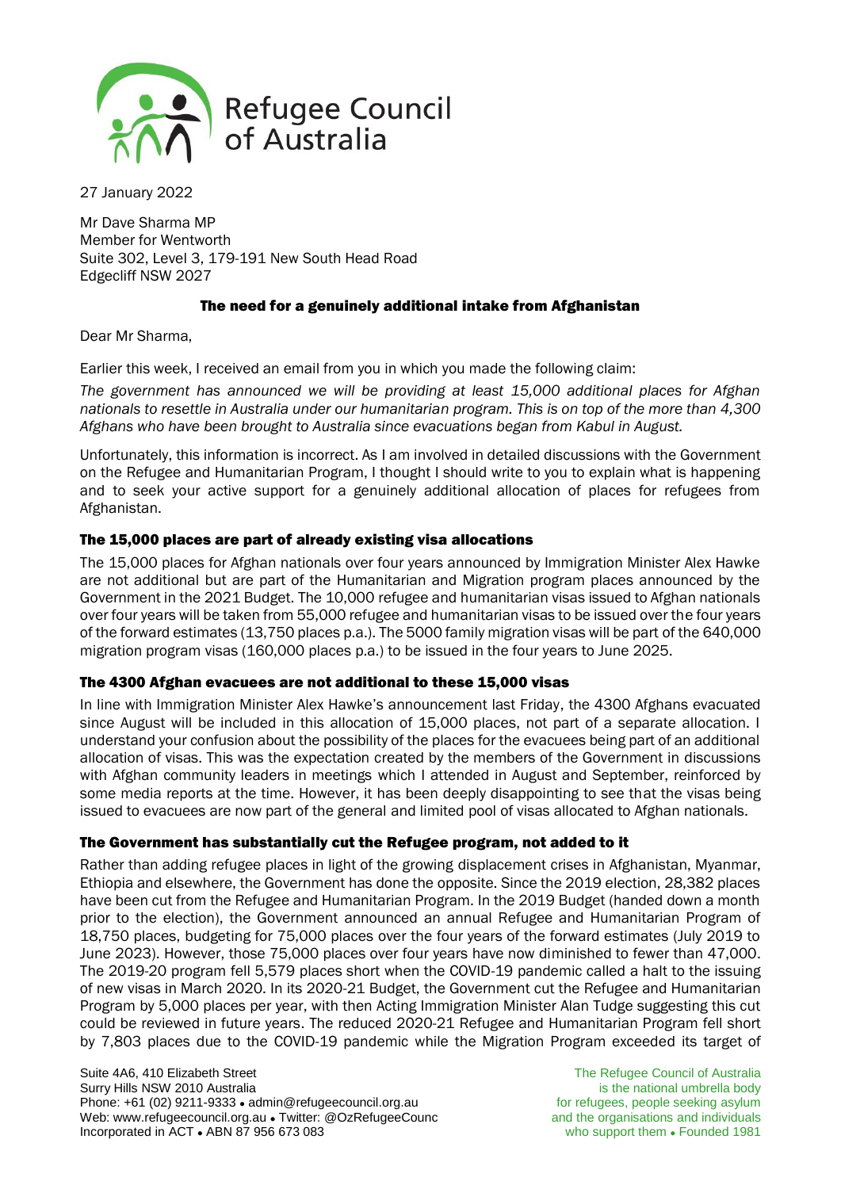

27 January 2022

Mr Dave Sharma MP Member for Wentworth Suite 302, Level 3, 179-191 New South Head Road Edgecliff NSW 2027

# The need for a genuinely additional intake from Afghanistan

Dear Mr Sharma,

Earlier this week, I received an email from you in which you made the following claim:

*The government has announced we will be providing at least 15,000 additional places for Afghan nationals to resettle in Australia under our humanitarian program. This is on top of the more than 4,300 Afghans who have been brought to Australia since evacuations began from Kabul in August.*

Unfortunately, this information is incorrect. As I am involved in detailed discussions with the Government on the Refugee and Humanitarian Program, I thought I should write to you to explain what is happening and to seek your active support for a genuinely additional allocation of places for refugees from Afghanistan.

## The 15,000 places are part of already existing visa allocations

The 15,000 places for Afghan nationals over four years announced by Immigration Minister Alex Hawke are not additional but are part of the Humanitarian and Migration program places announced by the Government in the 2021 Budget. The 10,000 refugee and humanitarian visas issued to Afghan nationals over four years will be taken from 55,000 refugee and humanitarian visas to be issued over the four years of the forward estimates (13,750 places p.a.). The 5000 family migration visas will be part of the 640,000 migration program visas (160,000 places p.a.) to be issued in the four years to June 2025.

### The 4300 Afghan evacuees are not additional to these 15,000 visas

In line with Immigration Minister Alex Hawke's announcement last Friday, the 4300 Afghans evacuated since August will be included in this allocation of 15,000 places, not part of a separate allocation. I understand your confusion about the possibility of the places for the evacuees being part of an additional allocation of visas. This was the expectation created by the members of the Government in discussions with Afghan community leaders in meetings which I attended in August and September, reinforced by some media reports at the time. However, it has been deeply disappointing to see that the visas being issued to evacuees are now part of the general and limited pool of visas allocated to Afghan nationals.

# The Government has substantially cut the Refugee program, not added to it

Rather than adding refugee places in light of the growing displacement crises in Afghanistan, Myanmar, Ethiopia and elsewhere, the Government has done the opposite. Since the 2019 election, 28,382 places have been cut from the Refugee and Humanitarian Program. In the 2019 Budget (handed down a month prior to the election), the Government announced an annual Refugee and Humanitarian Program of 18,750 places, budgeting for 75,000 places over the four years of the forward estimates (July 2019 to June 2023). However, those 75,000 places over four years have now diminished to fewer than 47,000. The 2019-20 program fell 5,579 places short when the COVID-19 pandemic called a halt to the issuing of new visas in March 2020. In its 2020-21 Budget, the Government cut the Refugee and Humanitarian Program by 5,000 places per year, with then Acting Immigration Minister Alan Tudge suggesting this cut could be reviewed in future years. The reduced 2020-21 Refugee and Humanitarian Program fell short by 7,803 places due to the COVID-19 pandemic while the Migration Program exceeded its target of